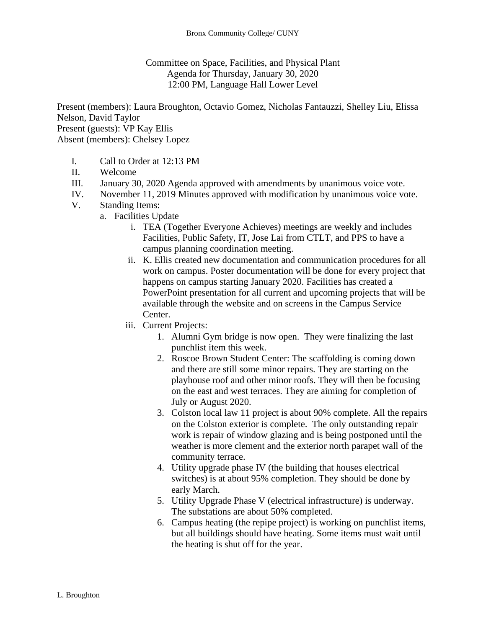Committee on Space, Facilities, and Physical Plant Agenda for Thursday, January 30, 2020 12:00 PM, Language Hall Lower Level

Present (members): Laura Broughton, Octavio Gomez, Nicholas Fantauzzi, Shelley Liu, Elissa Nelson, David Taylor Present (guests): VP Kay Ellis Absent (members): Chelsey Lopez

- I. Call to Order at 12:13 PM
- II. Welcome
- III. January 30, 2020 Agenda approved with amendments by unanimous voice vote.
- IV. November 11, 2019 Minutes approved with modification by unanimous voice vote.
- V. Standing Items:
	- a. Facilities Update
		- i. TEA (Together Everyone Achieves) meetings are weekly and includes Facilities, Public Safety, IT, Jose Lai from CTLT, and PPS to have a campus planning coordination meeting.
		- ii. K. Ellis created new documentation and communication procedures for all work on campus. Poster documentation will be done for every project that happens on campus starting January 2020. Facilities has created a PowerPoint presentation for all current and upcoming projects that will be available through the website and on screens in the Campus Service Center.
		- iii. Current Projects:
			- 1. Alumni Gym bridge is now open. They were finalizing the last punchlist item this week.
			- 2. Roscoe Brown Student Center: The scaffolding is coming down and there are still some minor repairs. They are starting on the playhouse roof and other minor roofs. They will then be focusing on the east and west terraces. They are aiming for completion of July or August 2020.
			- 3. Colston local law 11 project is about 90% complete. All the repairs on the Colston exterior is complete. The only outstanding repair work is repair of window glazing and is being postponed until the weather is more clement and the exterior north parapet wall of the community terrace.
			- 4. Utility upgrade phase IV (the building that houses electrical switches) is at about 95% completion. They should be done by early March.
			- 5. Utility Upgrade Phase V (electrical infrastructure) is underway. The substations are about 50% completed.
			- 6. Campus heating (the repipe project) is working on punchlist items, but all buildings should have heating. Some items must wait until the heating is shut off for the year.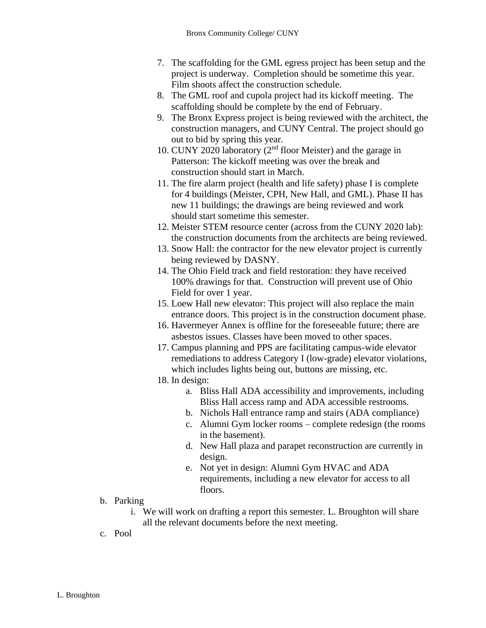- 7. The scaffolding for the GML egress project has been setup and the project is underway. Completion should be sometime this year. Film shoots affect the construction schedule.
- 8. The GML roof and cupola project had its kickoff meeting. The scaffolding should be complete by the end of February.
- 9. The Bronx Express project is being reviewed with the architect, the construction managers, and CUNY Central. The project should go out to bid by spring this year.
- 10. CUNY 2020 laboratory (2nd floor Meister) and the garage in Patterson: The kickoff meeting was over the break and construction should start in March.
- 11. The fire alarm project (health and life safety) phase I is complete for 4 buildings (Meister, CPH, New Hall, and GML). Phase II has new 11 buildings; the drawings are being reviewed and work should start sometime this semester.
- 12. Meister STEM resource center (across from the CUNY 2020 lab): the construction documents from the architects are being reviewed.
- 13. Snow Hall: the contractor for the new elevator project is currently being reviewed by DASNY.
- 14. The Ohio Field track and field restoration: they have received 100% drawings for that. Construction will prevent use of Ohio Field for over 1 year.
- 15. Loew Hall new elevator: This project will also replace the main entrance doors. This project is in the construction document phase.
- 16. Havermeyer Annex is offline for the foreseeable future; there are asbestos issues. Classes have been moved to other spaces.
- 17. Campus planning and PPS are facilitating campus-wide elevator remediations to address Category I (low-grade) elevator violations, which includes lights being out, buttons are missing, etc.
- 18. In design:
	- a. Bliss Hall ADA accessibility and improvements, including Bliss Hall access ramp and ADA accessible restrooms.
	- b. Nichols Hall entrance ramp and stairs (ADA compliance)
	- c. Alumni Gym locker rooms complete redesign (the rooms in the basement).
	- d. New Hall plaza and parapet reconstruction are currently in design.
	- e. Not yet in design: Alumni Gym HVAC and ADA requirements, including a new elevator for access to all floors.
- b. Parking
	- i. We will work on drafting a report this semester. L. Broughton will share all the relevant documents before the next meeting.
- c. Pool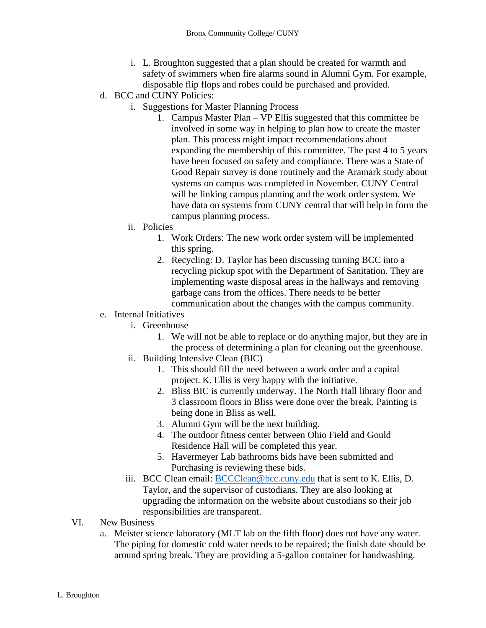- i. L. Broughton suggested that a plan should be created for warmth and safety of swimmers when fire alarms sound in Alumni Gym. For example, disposable flip flops and robes could be purchased and provided.
- d. BCC and CUNY Policies:
	- i. Suggestions for Master Planning Process
		- 1. Campus Master Plan VP Ellis suggested that this committee be involved in some way in helping to plan how to create the master plan. This process might impact recommendations about expanding the membership of this committee. The past 4 to 5 years have been focused on safety and compliance. There was a State of Good Repair survey is done routinely and the Aramark study about systems on campus was completed in November. CUNY Central will be linking campus planning and the work order system. We have data on systems from CUNY central that will help in form the campus planning process.
	- ii. Policies
		- 1. Work Orders: The new work order system will be implemented this spring.
		- 2. Recycling: D. Taylor has been discussing turning BCC into a recycling pickup spot with the Department of Sanitation. They are implementing waste disposal areas in the hallways and removing garbage cans from the offices. There needs to be better communication about the changes with the campus community.

## e. Internal Initiatives

- i. Greenhouse
	- 1. We will not be able to replace or do anything major, but they are in the process of determining a plan for cleaning out the greenhouse.
- ii. Building Intensive Clean (BIC)
	- 1. This should fill the need between a work order and a capital project. K. Ellis is very happy with the initiative.
	- 2. Bliss BIC is currently underway. The North Hall library floor and 3 classroom floors in Bliss were done over the break. Painting is being done in Bliss as well.
	- 3. Alumni Gym will be the next building.
	- 4. The outdoor fitness center between Ohio Field and Gould Residence Hall will be completed this year.
	- 5. Havermeyer Lab bathrooms bids have been submitted and Purchasing is reviewing these bids.
- iii. BCC Clean email: [BCCClean@bcc.cuny.edu](mailto:BCCClean@bcc.cuny.edu) that is sent to K. Ellis, D. Taylor, and the supervisor of custodians. They are also looking at upgrading the information on the website about custodians so their job responsibilities are transparent.
- VI. New Business
	- a. Meister science laboratory (MLT lab on the fifth floor) does not have any water. The piping for domestic cold water needs to be repaired; the finish date should be around spring break. They are providing a 5-gallon container for handwashing.